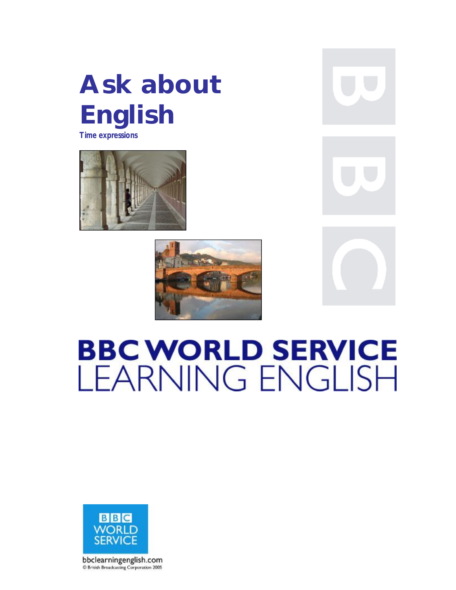# **Ask about English Time expressions**





# **BBC WORLD SERVICE LEARNING ENGLISH**



bbclearningenglish.com @ British Broadcasting Corporation 2005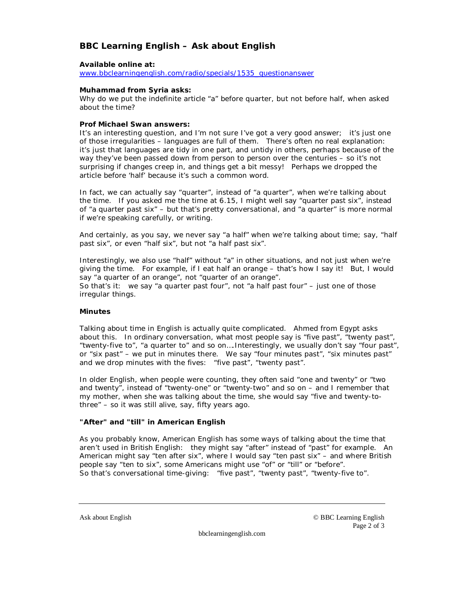## **BBC Learning English – Ask about English**

#### **Available online at:**

[www.bbclearningenglish.com/radio/specials/1535\\_questionanswer](http://www.bbclearningenglish.com/radio/specials/1535_questionanswer)

#### **Muhammad from Syria asks:**

Why do we put the indefinite article "a" before quarter, but not before half, when asked about the time?

#### **Prof Michael Swan answers:**

It's an interesting question, and I'm not sure I've got a very good answer; it's just one of those irregularities – languages are full of them. There's often no real explanation: it's just that languages are tidy in one part, and untidy in others, perhaps because of the way they've been passed down from person to person over the centuries – so it's not surprising if changes creep in, and things get a bit messy! Perhaps we dropped the article before 'half' because it's such a common word.

In fact, we can actually say "quarter", instead of "a quarter", when we're talking about the time. If you asked me the time at 6.15, I might well say "quarter past six", instead of "a quarter past six" – but that's pretty conversational, and "a quarter" is more normal if we're speaking carefully, or writing.

And certainly, as you say, we never say "a half" when we're talking about time; say, "half past six", or even "half six", but not "a half past six".

Interestingly, we also use "half" without "a" in other situations, and not just when we're giving the time. For example, if I eat half an orange – that's how I say it! But, I would say "a quarter of an orange", not "quarter of an orange". So that's it: we say "a quarter past four", not "a half past four"  $-$  just one of those irregular things.

#### **Minutes**

Talking about time in English is actually quite complicated. Ahmed from Egypt asks about this. In ordinary conversation, what most people say is "five past", "twenty past", "twenty-five to", "a quarter to" and so on….Interestingly, we usually don't say "four past", or "six past" – we put in minutes there. We say "four minutes past", "six minutes past" and we drop minutes with the fives: "five past", "twenty past".

In older English, when people were counting, they often said "one and twenty" or "two and twenty", instead of "twenty-one" or "twenty-two" and so on – and I remember that my mother, when she was talking about the time, she would say "five and twenty-tothree" – so it was still alive, say, fifty years ago.

#### **"After" and "till" in American English**

As you probably know, American English has some ways of talking about the time that aren't used in British English: they might say "after" instead of "past" for example. An American might say "ten after six", where I would say "ten past six" – and where British people say "ten to six", some Americans might use "of" or "till" or "before". So that's conversational time-giving: "five past", "twenty past", "twenty-five to".

Ask about English © BBC Learning English Page 2 of 3